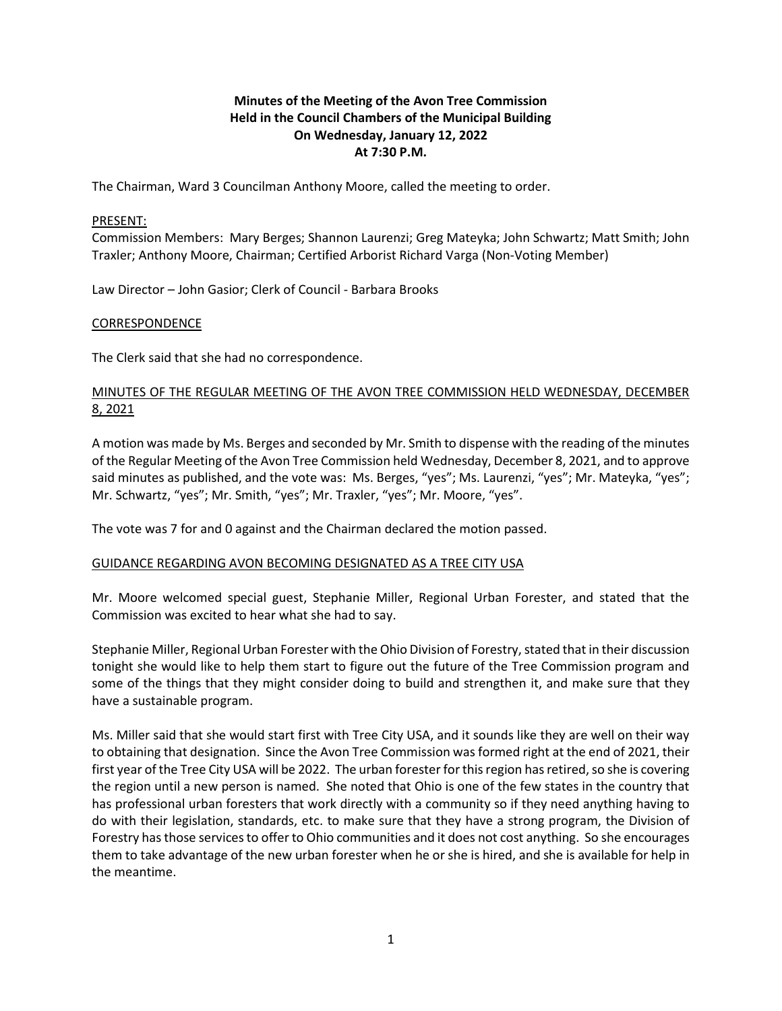# **Minutes of the Meeting of the Avon Tree Commission Held in the Council Chambers of the Municipal Building On Wednesday, January 12, 2022 At 7:30 P.M.**

The Chairman, Ward 3 Councilman Anthony Moore, called the meeting to order.

#### PRESENT:

Commission Members: Mary Berges; Shannon Laurenzi; Greg Mateyka; John Schwartz; Matt Smith; John Traxler; Anthony Moore, Chairman; Certified Arborist Richard Varga (Non-Voting Member)

Law Director – John Gasior; Clerk of Council - Barbara Brooks

#### CORRESPONDENCE

The Clerk said that she had no correspondence.

# MINUTES OF THE REGULAR MEETING OF THE AVON TREE COMMISSION HELD WEDNESDAY, DECEMBER 8, 2021

A motion was made by Ms. Berges and seconded by Mr. Smith to dispense with the reading of the minutes of the Regular Meeting of the Avon Tree Commission held Wednesday, December 8, 2021, and to approve said minutes as published, and the vote was: Ms. Berges, "yes"; Ms. Laurenzi, "yes"; Mr. Mateyka, "yes"; Mr. Schwartz, "yes"; Mr. Smith, "yes"; Mr. Traxler, "yes"; Mr. Moore, "yes".

The vote was 7 for and 0 against and the Chairman declared the motion passed.

## GUIDANCE REGARDING AVON BECOMING DESIGNATED AS A TREE CITY USA

Mr. Moore welcomed special guest, Stephanie Miller, Regional Urban Forester, and stated that the Commission was excited to hear what she had to say.

Stephanie Miller, Regional Urban Forester with the Ohio Division of Forestry, stated that in their discussion tonight she would like to help them start to figure out the future of the Tree Commission program and some of the things that they might consider doing to build and strengthen it, and make sure that they have a sustainable program.

Ms. Miller said that she would start first with Tree City USA, and it sounds like they are well on their way to obtaining that designation. Since the Avon Tree Commission was formed right at the end of 2021, their first year of the Tree City USA will be 2022. The urban forester for this region has retired, so she is covering the region until a new person is named. She noted that Ohio is one of the few states in the country that has professional urban foresters that work directly with a community so if they need anything having to do with their legislation, standards, etc. to make sure that they have a strong program, the Division of Forestry has those services to offer to Ohio communities and it does not cost anything. So she encourages them to take advantage of the new urban forester when he or she is hired, and she is available for help in the meantime.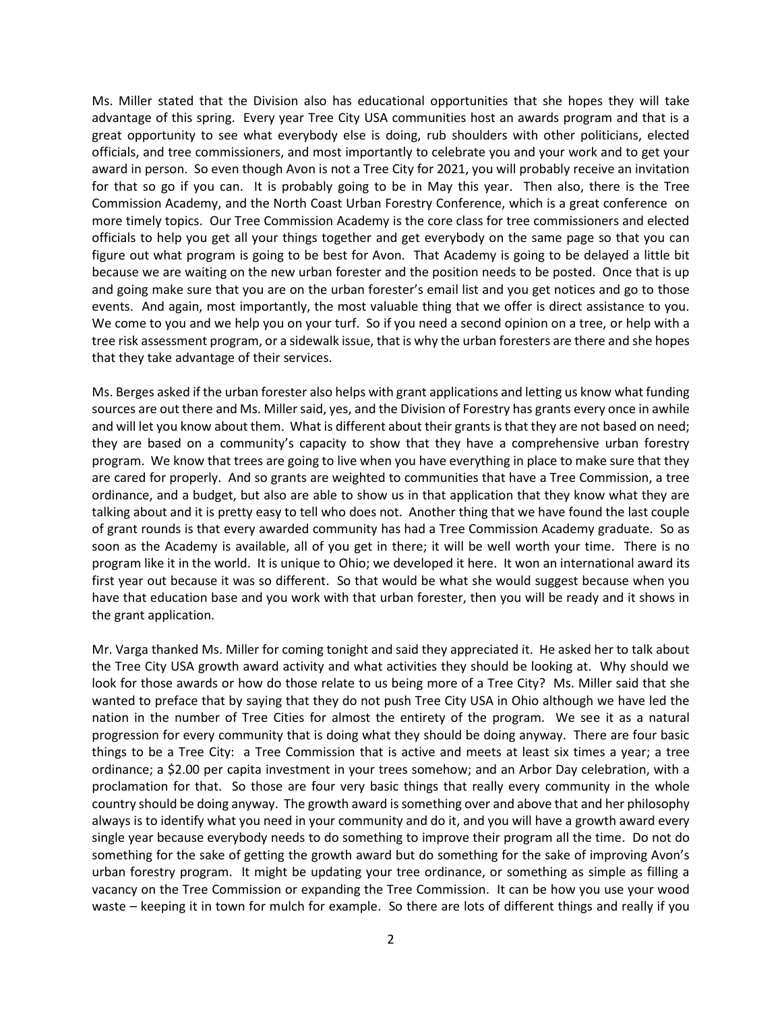Ms. Miller stated that the Division also has educational opportunities that she hopes they will take advantage of this spring. Every year Tree City USA communities host an awards program and that is a great opportunity to see what everybody else is doing, rub shoulders with other politicians, elected officials, and tree commissioners, and most importantly to celebrate you and your work and to get your award in person. So even though Avon is not a Tree City for 2021, you will probably receive an invitation for that so go if you can. It is probably going to be in May this year. Then also, there is the Tree Commission Academy, and the North Coast Urban Forestry Conference, which is a great conference on more timely topics. Our Tree Commission Academy is the core class for tree commissioners and elected officials to help you get all your things together and get everybody on the same page so that you can figure out what program is going to be best for Avon. That Academy is going to be delayed a little bit because we are waiting on the new urban forester and the position needs to be posted. Once that is up and going make sure that you are on the urban forester's email list and you get notices and go to those events. And again, most importantly, the most valuable thing that we offer is direct assistance to you. We come to you and we help you on your turf. So if you need a second opinion on a tree, or help with a tree risk assessment program, or a sidewalk issue, that is why the urban foresters are there and she hopes that they take advantage of their services.

Ms. Berges asked if the urban forester also helps with grant applications and letting us know what funding sources are out there and Ms. Miller said, yes, and the Division of Forestry has grants every once in awhile and will let you know about them. What is different about their grants is that they are not based on need; they are based on a community's capacity to show that they have a comprehensive urban forestry program. We know that trees are going to live when you have everything in place to make sure that they are cared for properly. And so grants are weighted to communities that have a Tree Commission, a tree ordinance, and a budget, but also are able to show us in that application that they know what they are talking about and it is pretty easy to tell who does not. Another thing that we have found the last couple of grant rounds is that every awarded community has had a Tree Commission Academy graduate. So as soon as the Academy is available, all of you get in there; it will be well worth your time. There is no program like it in the world. It is unique to Ohio; we developed it here. It won an international award its first year out because it was so different. So that would be what she would suggest because when you have that education base and you work with that urban forester, then you will be ready and it shows in the grant application.

Mr. Varga thanked Ms. Miller for coming tonight and said they appreciated it. He asked her to talk about the Tree City USA growth award activity and what activities they should be looking at. Why should we look for those awards or how do those relate to us being more of a Tree City? Ms. Miller said that she wanted to preface that by saying that they do not push Tree City USA in Ohio although we have led the nation in the number of Tree Cities for almost the entirety of the program. We see it as a natural progression for every community that is doing what they should be doing anyway. There are four basic things to be a Tree City: a Tree Commission that is active and meets at least six times a year; a tree ordinance; a \$2.00 per capita investment in your trees somehow; and an Arbor Day celebration, with a proclamation for that. So those are four very basic things that really every community in the whole country should be doing anyway. The growth award is something over and above that and her philosophy always is to identify what you need in your community and do it, and you will have a growth award every single year because everybody needs to do something to improve their program all the time. Do not do something for the sake of getting the growth award but do something for the sake of improving Avon's urban forestry program. It might be updating your tree ordinance, or something as simple as filling a vacancy on the Tree Commission or expanding the Tree Commission. It can be how you use your wood waste – keeping it in town for mulch for example. So there are lots of different things and really if you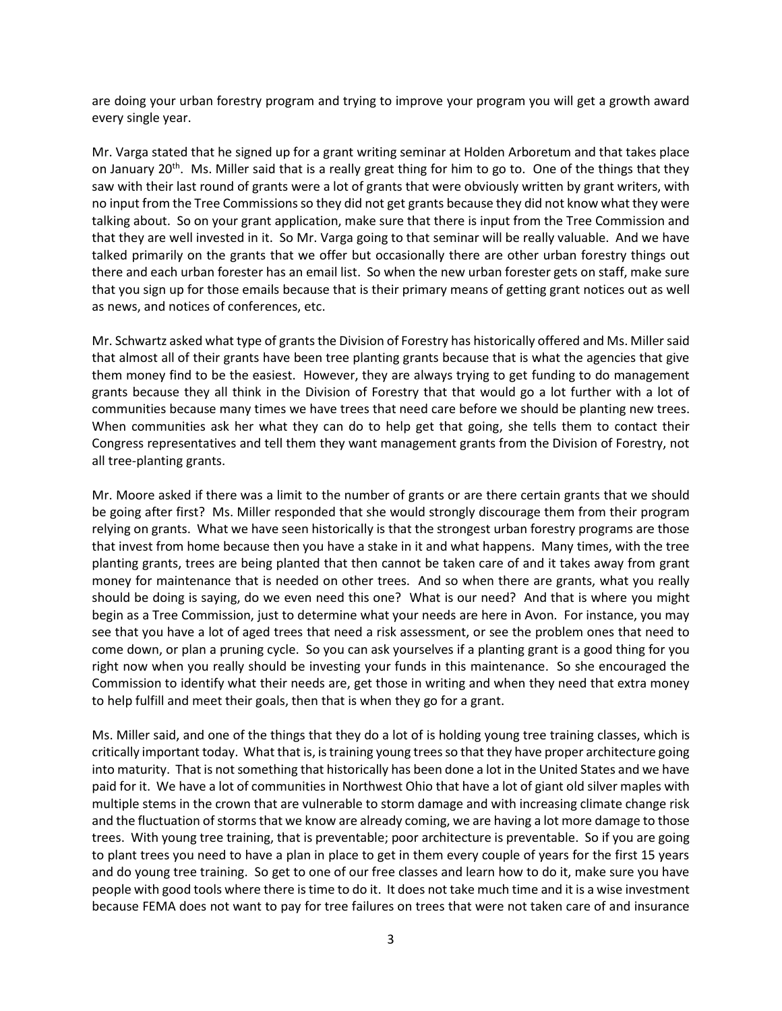are doing your urban forestry program and trying to improve your program you will get a growth award every single year.

Mr. Varga stated that he signed up for a grant writing seminar at Holden Arboretum and that takes place on January 20<sup>th</sup>. Ms. Miller said that is a really great thing for him to go to. One of the things that they saw with their last round of grants were a lot of grants that were obviously written by grant writers, with no input from the Tree Commissions so they did not get grants because they did not know what they were talking about. So on your grant application, make sure that there is input from the Tree Commission and that they are well invested in it. So Mr. Varga going to that seminar will be really valuable. And we have talked primarily on the grants that we offer but occasionally there are other urban forestry things out there and each urban forester has an email list. So when the new urban forester gets on staff, make sure that you sign up for those emails because that is their primary means of getting grant notices out as well as news, and notices of conferences, etc.

Mr. Schwartz asked what type of grants the Division of Forestry has historically offered and Ms. Miller said that almost all of their grants have been tree planting grants because that is what the agencies that give them money find to be the easiest. However, they are always trying to get funding to do management grants because they all think in the Division of Forestry that that would go a lot further with a lot of communities because many times we have trees that need care before we should be planting new trees. When communities ask her what they can do to help get that going, she tells them to contact their Congress representatives and tell them they want management grants from the Division of Forestry, not all tree-planting grants.

Mr. Moore asked if there was a limit to the number of grants or are there certain grants that we should be going after first? Ms. Miller responded that she would strongly discourage them from their program relying on grants. What we have seen historically is that the strongest urban forestry programs are those that invest from home because then you have a stake in it and what happens. Many times, with the tree planting grants, trees are being planted that then cannot be taken care of and it takes away from grant money for maintenance that is needed on other trees. And so when there are grants, what you really should be doing is saying, do we even need this one? What is our need? And that is where you might begin as a Tree Commission, just to determine what your needs are here in Avon. For instance, you may see that you have a lot of aged trees that need a risk assessment, or see the problem ones that need to come down, or plan a pruning cycle. So you can ask yourselves if a planting grant is a good thing for you right now when you really should be investing your funds in this maintenance. So she encouraged the Commission to identify what their needs are, get those in writing and when they need that extra money to help fulfill and meet their goals, then that is when they go for a grant.

Ms. Miller said, and one of the things that they do a lot of is holding young tree training classes, which is critically important today. What that is, is training young trees so that they have proper architecture going into maturity. That is not something that historically has been done a lot in the United States and we have paid for it. We have a lot of communities in Northwest Ohio that have a lot of giant old silver maples with multiple stems in the crown that are vulnerable to storm damage and with increasing climate change risk and the fluctuation of storms that we know are already coming, we are having a lot more damage to those trees. With young tree training, that is preventable; poor architecture is preventable. So if you are going to plant trees you need to have a plan in place to get in them every couple of years for the first 15 years and do young tree training. So get to one of our free classes and learn how to do it, make sure you have people with good tools where there is time to do it. It does not take much time and it is a wise investment because FEMA does not want to pay for tree failures on trees that were not taken care of and insurance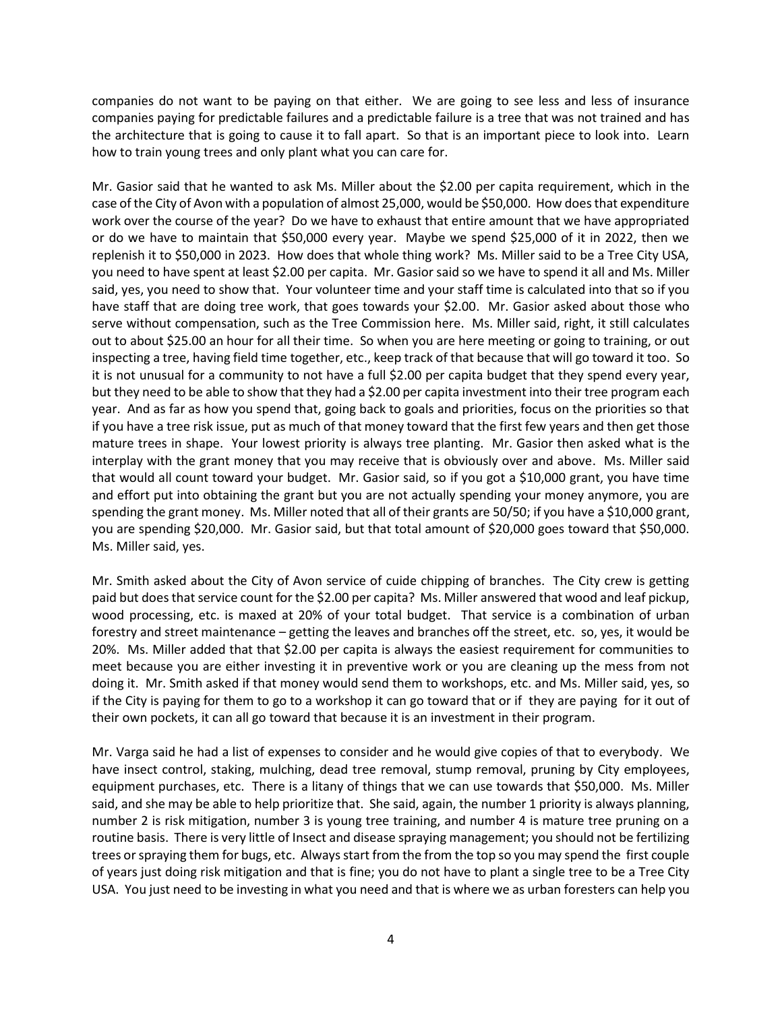companies do not want to be paying on that either. We are going to see less and less of insurance companies paying for predictable failures and a predictable failure is a tree that was not trained and has the architecture that is going to cause it to fall apart. So that is an important piece to look into. Learn how to train young trees and only plant what you can care for.

Mr. Gasior said that he wanted to ask Ms. Miller about the \$2.00 per capita requirement, which in the case of the City of Avon with a population of almost 25,000, would be \$50,000. How does that expenditure work over the course of the year? Do we have to exhaust that entire amount that we have appropriated or do we have to maintain that \$50,000 every year. Maybe we spend \$25,000 of it in 2022, then we replenish it to \$50,000 in 2023. How does that whole thing work? Ms. Miller said to be a Tree City USA, you need to have spent at least \$2.00 per capita. Mr. Gasior said so we have to spend it all and Ms. Miller said, yes, you need to show that. Your volunteer time and your staff time is calculated into that so if you have staff that are doing tree work, that goes towards your \$2.00. Mr. Gasior asked about those who serve without compensation, such as the Tree Commission here. Ms. Miller said, right, it still calculates out to about \$25.00 an hour for all their time. So when you are here meeting or going to training, or out inspecting a tree, having field time together, etc., keep track of that because that will go toward it too. So it is not unusual for a community to not have a full \$2.00 per capita budget that they spend every year, but they need to be able to show that they had a \$2.00 per capita investment into their tree program each year. And as far as how you spend that, going back to goals and priorities, focus on the priorities so that if you have a tree risk issue, put as much of that money toward that the first few years and then get those mature trees in shape. Your lowest priority is always tree planting. Mr. Gasior then asked what is the interplay with the grant money that you may receive that is obviously over and above. Ms. Miller said that would all count toward your budget. Mr. Gasior said, so if you got a \$10,000 grant, you have time and effort put into obtaining the grant but you are not actually spending your money anymore, you are spending the grant money. Ms. Miller noted that all of their grants are 50/50; if you have a \$10,000 grant, you are spending \$20,000. Mr. Gasior said, but that total amount of \$20,000 goes toward that \$50,000. Ms. Miller said, yes.

Mr. Smith asked about the City of Avon service of cuide chipping of branches. The City crew is getting paid but does that service count for the \$2.00 per capita? Ms. Miller answered that wood and leaf pickup, wood processing, etc. is maxed at 20% of your total budget. That service is a combination of urban forestry and street maintenance – getting the leaves and branches off the street, etc. so, yes, it would be 20%. Ms. Miller added that that \$2.00 per capita is always the easiest requirement for communities to meet because you are either investing it in preventive work or you are cleaning up the mess from not doing it. Mr. Smith asked if that money would send them to workshops, etc. and Ms. Miller said, yes, so if the City is paying for them to go to a workshop it can go toward that or if they are paying for it out of their own pockets, it can all go toward that because it is an investment in their program.

Mr. Varga said he had a list of expenses to consider and he would give copies of that to everybody. We have insect control, staking, mulching, dead tree removal, stump removal, pruning by City employees, equipment purchases, etc. There is a litany of things that we can use towards that \$50,000. Ms. Miller said, and she may be able to help prioritize that. She said, again, the number 1 priority is always planning, number 2 is risk mitigation, number 3 is young tree training, and number 4 is mature tree pruning on a routine basis. There is very little of Insect and disease spraying management; you should not be fertilizing trees or spraying them for bugs, etc. Always start from the from the top so you may spend the first couple of years just doing risk mitigation and that is fine; you do not have to plant a single tree to be a Tree City USA. You just need to be investing in what you need and that is where we as urban foresters can help you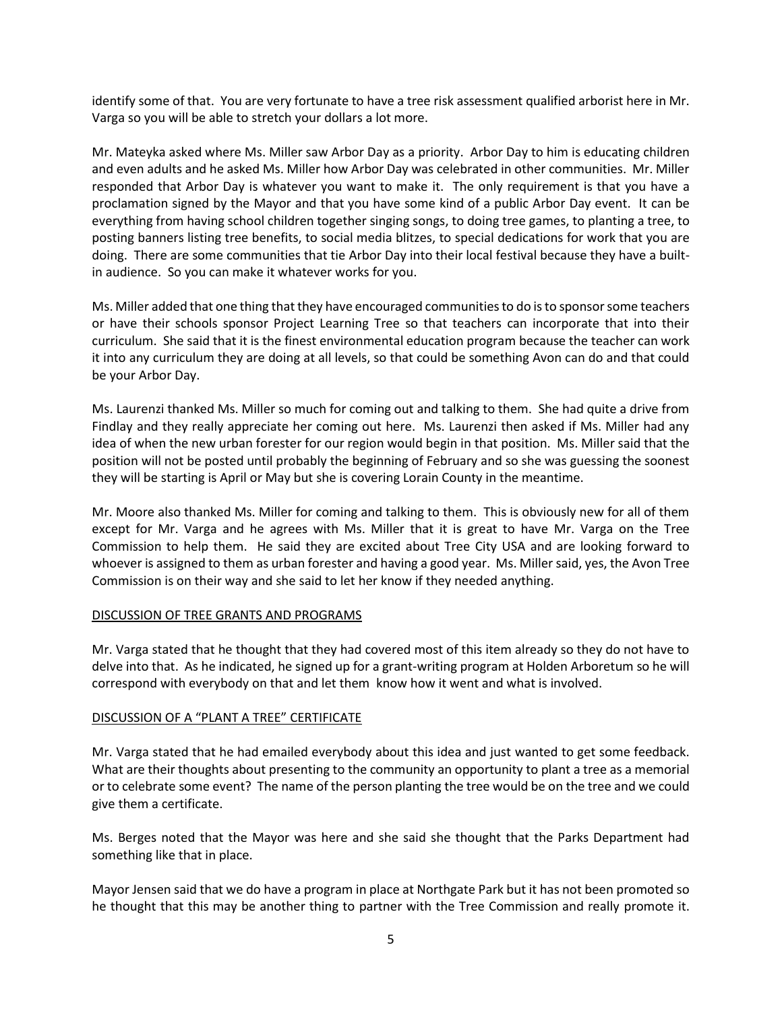identify some of that. You are very fortunate to have a tree risk assessment qualified arborist here in Mr. Varga so you will be able to stretch your dollars a lot more.

Mr. Mateyka asked where Ms. Miller saw Arbor Day as a priority. Arbor Day to him is educating children and even adults and he asked Ms. Miller how Arbor Day was celebrated in other communities. Mr. Miller responded that Arbor Day is whatever you want to make it. The only requirement is that you have a proclamation signed by the Mayor and that you have some kind of a public Arbor Day event. It can be everything from having school children together singing songs, to doing tree games, to planting a tree, to posting banners listing tree benefits, to social media blitzes, to special dedications for work that you are doing. There are some communities that tie Arbor Day into their local festival because they have a builtin audience. So you can make it whatever works for you.

Ms. Miller added that one thing that they have encouraged communities to do is to sponsor some teachers or have their schools sponsor Project Learning Tree so that teachers can incorporate that into their curriculum. She said that it is the finest environmental education program because the teacher can work it into any curriculum they are doing at all levels, so that could be something Avon can do and that could be your Arbor Day.

Ms. Laurenzi thanked Ms. Miller so much for coming out and talking to them. She had quite a drive from Findlay and they really appreciate her coming out here. Ms. Laurenzi then asked if Ms. Miller had any idea of when the new urban forester for our region would begin in that position. Ms. Miller said that the position will not be posted until probably the beginning of February and so she was guessing the soonest they will be starting is April or May but she is covering Lorain County in the meantime.

Mr. Moore also thanked Ms. Miller for coming and talking to them. This is obviously new for all of them except for Mr. Varga and he agrees with Ms. Miller that it is great to have Mr. Varga on the Tree Commission to help them. He said they are excited about Tree City USA and are looking forward to whoever is assigned to them as urban forester and having a good year. Ms. Miller said, yes, the Avon Tree Commission is on their way and she said to let her know if they needed anything.

## DISCUSSION OF TREE GRANTS AND PROGRAMS

Mr. Varga stated that he thought that they had covered most of this item already so they do not have to delve into that. As he indicated, he signed up for a grant-writing program at Holden Arboretum so he will correspond with everybody on that and let them know how it went and what is involved.

## DISCUSSION OF A "PLANT A TREE" CERTIFICATE

Mr. Varga stated that he had emailed everybody about this idea and just wanted to get some feedback. What are their thoughts about presenting to the community an opportunity to plant a tree as a memorial or to celebrate some event? The name of the person planting the tree would be on the tree and we could give them a certificate.

Ms. Berges noted that the Mayor was here and she said she thought that the Parks Department had something like that in place.

Mayor Jensen said that we do have a program in place at Northgate Park but it has not been promoted so he thought that this may be another thing to partner with the Tree Commission and really promote it.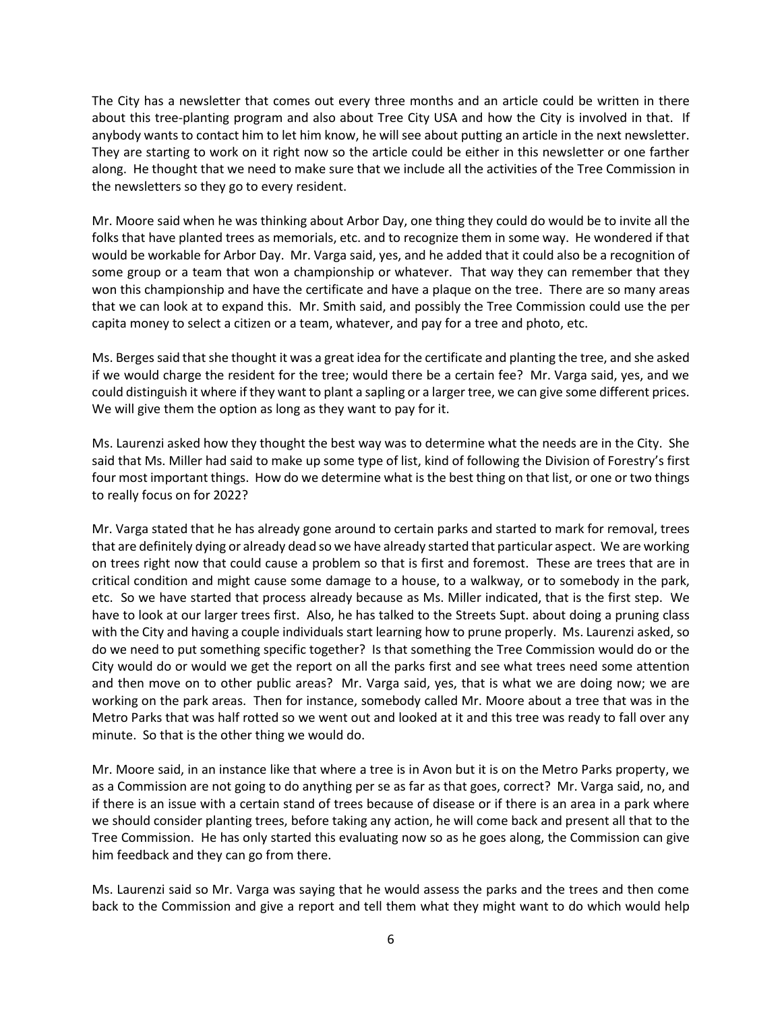The City has a newsletter that comes out every three months and an article could be written in there about this tree-planting program and also about Tree City USA and how the City is involved in that. If anybody wants to contact him to let him know, he will see about putting an article in the next newsletter. They are starting to work on it right now so the article could be either in this newsletter or one farther along. He thought that we need to make sure that we include all the activities of the Tree Commission in the newsletters so they go to every resident.

Mr. Moore said when he was thinking about Arbor Day, one thing they could do would be to invite all the folks that have planted trees as memorials, etc. and to recognize them in some way. He wondered if that would be workable for Arbor Day. Mr. Varga said, yes, and he added that it could also be a recognition of some group or a team that won a championship or whatever. That way they can remember that they won this championship and have the certificate and have a plaque on the tree. There are so many areas that we can look at to expand this. Mr. Smith said, and possibly the Tree Commission could use the per capita money to select a citizen or a team, whatever, and pay for a tree and photo, etc.

Ms. Berges said that she thought it was a great idea for the certificate and planting the tree, and she asked if we would charge the resident for the tree; would there be a certain fee? Mr. Varga said, yes, and we could distinguish it where if they want to plant a sapling or a larger tree, we can give some different prices. We will give them the option as long as they want to pay for it.

Ms. Laurenzi asked how they thought the best way was to determine what the needs are in the City. She said that Ms. Miller had said to make up some type of list, kind of following the Division of Forestry's first four most important things. How do we determine what is the best thing on that list, or one or two things to really focus on for 2022?

Mr. Varga stated that he has already gone around to certain parks and started to mark for removal, trees that are definitely dying or already dead so we have already started that particular aspect. We are working on trees right now that could cause a problem so that is first and foremost. These are trees that are in critical condition and might cause some damage to a house, to a walkway, or to somebody in the park, etc. So we have started that process already because as Ms. Miller indicated, that is the first step. We have to look at our larger trees first. Also, he has talked to the Streets Supt. about doing a pruning class with the City and having a couple individuals start learning how to prune properly. Ms. Laurenzi asked, so do we need to put something specific together? Is that something the Tree Commission would do or the City would do or would we get the report on all the parks first and see what trees need some attention and then move on to other public areas? Mr. Varga said, yes, that is what we are doing now; we are working on the park areas. Then for instance, somebody called Mr. Moore about a tree that was in the Metro Parks that was half rotted so we went out and looked at it and this tree was ready to fall over any minute. So that is the other thing we would do.

Mr. Moore said, in an instance like that where a tree is in Avon but it is on the Metro Parks property, we as a Commission are not going to do anything per se as far as that goes, correct? Mr. Varga said, no, and if there is an issue with a certain stand of trees because of disease or if there is an area in a park where we should consider planting trees, before taking any action, he will come back and present all that to the Tree Commission. He has only started this evaluating now so as he goes along, the Commission can give him feedback and they can go from there.

Ms. Laurenzi said so Mr. Varga was saying that he would assess the parks and the trees and then come back to the Commission and give a report and tell them what they might want to do which would help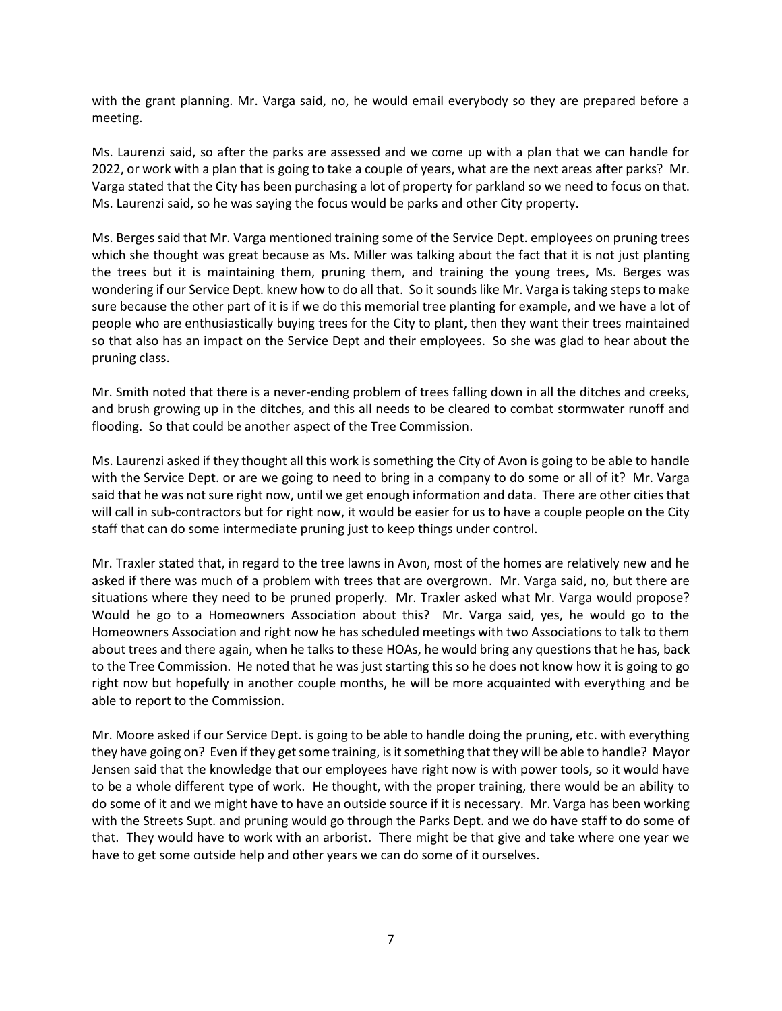with the grant planning. Mr. Varga said, no, he would email everybody so they are prepared before a meeting.

Ms. Laurenzi said, so after the parks are assessed and we come up with a plan that we can handle for 2022, or work with a plan that is going to take a couple of years, what are the next areas after parks? Mr. Varga stated that the City has been purchasing a lot of property for parkland so we need to focus on that. Ms. Laurenzi said, so he was saying the focus would be parks and other City property.

Ms. Berges said that Mr. Varga mentioned training some of the Service Dept. employees on pruning trees which she thought was great because as Ms. Miller was talking about the fact that it is not just planting the trees but it is maintaining them, pruning them, and training the young trees, Ms. Berges was wondering if our Service Dept. knew how to do all that. So it sounds like Mr. Varga is taking steps to make sure because the other part of it is if we do this memorial tree planting for example, and we have a lot of people who are enthusiastically buying trees for the City to plant, then they want their trees maintained so that also has an impact on the Service Dept and their employees. So she was glad to hear about the pruning class.

Mr. Smith noted that there is a never-ending problem of trees falling down in all the ditches and creeks, and brush growing up in the ditches, and this all needs to be cleared to combat stormwater runoff and flooding. So that could be another aspect of the Tree Commission.

Ms. Laurenzi asked if they thought all this work is something the City of Avon is going to be able to handle with the Service Dept. or are we going to need to bring in a company to do some or all of it? Mr. Varga said that he was not sure right now, until we get enough information and data. There are other cities that will call in sub-contractors but for right now, it would be easier for us to have a couple people on the City staff that can do some intermediate pruning just to keep things under control.

Mr. Traxler stated that, in regard to the tree lawns in Avon, most of the homes are relatively new and he asked if there was much of a problem with trees that are overgrown. Mr. Varga said, no, but there are situations where they need to be pruned properly. Mr. Traxler asked what Mr. Varga would propose? Would he go to a Homeowners Association about this? Mr. Varga said, yes, he would go to the Homeowners Association and right now he has scheduled meetings with two Associations to talk to them about trees and there again, when he talks to these HOAs, he would bring any questions that he has, back to the Tree Commission. He noted that he was just starting this so he does not know how it is going to go right now but hopefully in another couple months, he will be more acquainted with everything and be able to report to the Commission.

Mr. Moore asked if our Service Dept. is going to be able to handle doing the pruning, etc. with everything they have going on? Even if they get some training, is it something that they will be able to handle? Mayor Jensen said that the knowledge that our employees have right now is with power tools, so it would have to be a whole different type of work. He thought, with the proper training, there would be an ability to do some of it and we might have to have an outside source if it is necessary. Mr. Varga has been working with the Streets Supt. and pruning would go through the Parks Dept. and we do have staff to do some of that. They would have to work with an arborist. There might be that give and take where one year we have to get some outside help and other years we can do some of it ourselves.